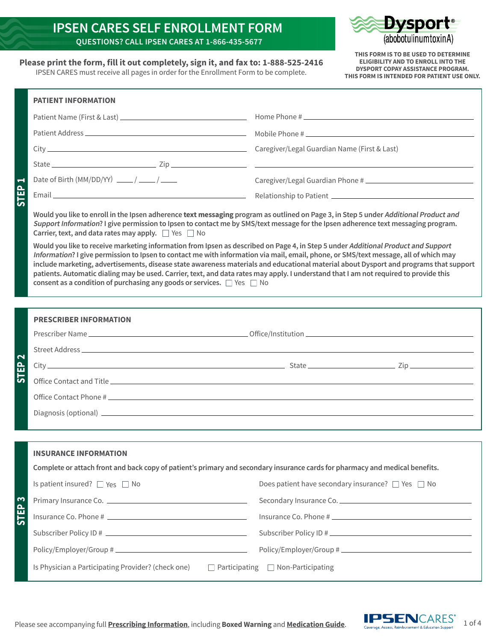#### **IPSEN CARES SELF ENROLLMENT FORM QUESTIONS? CALL IPSEN CARES AT 1-866-435-5677**



**THIS FORM IS TO BE USED TO DETERMINE ELIGIBILITY AND TO ENROLL INTO THE DYSPORT COPAY ASSISTANCE PROGRAM. THIS FORM IS INTENDED FOR PATIENT USE ONLY.**

**STEP 1**

**STEP 3**

**STEP 2**

**Please print the form, fill it out completely, sign it, and fax to: 1-888-525-2416**

IPSEN CARES must receive all pages in order for the Enrollment Form to be complete.

| <b>PATIENT INFORMATION</b>                                                                                                                                                                                                                                                                                                                                                                                                                                                                                                                                                                                                                                                                                                                                       |                                                             |
|------------------------------------------------------------------------------------------------------------------------------------------------------------------------------------------------------------------------------------------------------------------------------------------------------------------------------------------------------------------------------------------------------------------------------------------------------------------------------------------------------------------------------------------------------------------------------------------------------------------------------------------------------------------------------------------------------------------------------------------------------------------|-------------------------------------------------------------|
|                                                                                                                                                                                                                                                                                                                                                                                                                                                                                                                                                                                                                                                                                                                                                                  |                                                             |
|                                                                                                                                                                                                                                                                                                                                                                                                                                                                                                                                                                                                                                                                                                                                                                  |                                                             |
|                                                                                                                                                                                                                                                                                                                                                                                                                                                                                                                                                                                                                                                                                                                                                                  | Caregiver/Legal Guardian Name (First & Last)                |
|                                                                                                                                                                                                                                                                                                                                                                                                                                                                                                                                                                                                                                                                                                                                                                  |                                                             |
| Date of Birth (MM/DD/YY) $\frac{1}{\sqrt{1-\frac{1}{2}}}\left(\frac{1}{\sqrt{1-\frac{1}{2}}}\right)$                                                                                                                                                                                                                                                                                                                                                                                                                                                                                                                                                                                                                                                             |                                                             |
|                                                                                                                                                                                                                                                                                                                                                                                                                                                                                                                                                                                                                                                                                                                                                                  |                                                             |
| Would you like to enroll in the Ipsen adherence text messaging program as outlined on Page 3, in Step 5 under Additional Product and<br>Support Information? I give permission to Ipsen to contact me by SMS/text message for the Ipsen adherence text messaging program.<br>Carrier, text, and data rates may apply. $\Box$ Yes $\Box$ No<br>Would you like to receive marketing information from Ipsen as described on Page 4, in Step 5 under Additional Product and Support<br>Information? I give permission to Ipsen to contact me with information via mail, email, phone, or SMS/text message, all of which may<br>include marketing, advertisements, disease state awareness materials and educational material about Dysport and programs that support |                                                             |
| patients. Automatic dialing may be used. Carrier, text, and data rates may apply. I understand that I am not required to provide this<br>consent as a condition of purchasing any goods or services. $\Box$ Yes $\Box$ No                                                                                                                                                                                                                                                                                                                                                                                                                                                                                                                                        |                                                             |
| <b>PRESCRIBER INFORMATION</b>                                                                                                                                                                                                                                                                                                                                                                                                                                                                                                                                                                                                                                                                                                                                    |                                                             |
|                                                                                                                                                                                                                                                                                                                                                                                                                                                                                                                                                                                                                                                                                                                                                                  |                                                             |
|                                                                                                                                                                                                                                                                                                                                                                                                                                                                                                                                                                                                                                                                                                                                                                  |                                                             |
|                                                                                                                                                                                                                                                                                                                                                                                                                                                                                                                                                                                                                                                                                                                                                                  |                                                             |
|                                                                                                                                                                                                                                                                                                                                                                                                                                                                                                                                                                                                                                                                                                                                                                  |                                                             |
|                                                                                                                                                                                                                                                                                                                                                                                                                                                                                                                                                                                                                                                                                                                                                                  |                                                             |
|                                                                                                                                                                                                                                                                                                                                                                                                                                                                                                                                                                                                                                                                                                                                                                  |                                                             |
| <b>INSURANCE INFORMATION</b>                                                                                                                                                                                                                                                                                                                                                                                                                                                                                                                                                                                                                                                                                                                                     |                                                             |
| Complete or attach front and back copy of patient's primary and secondary insurance cards for pharmacy and medical benefits.                                                                                                                                                                                                                                                                                                                                                                                                                                                                                                                                                                                                                                     |                                                             |
| Is patient insured? $\Box$ Yes $\Box$ No                                                                                                                                                                                                                                                                                                                                                                                                                                                                                                                                                                                                                                                                                                                         | Does patient have secondary insurance? $\Box$ Yes $\Box$ No |
|                                                                                                                                                                                                                                                                                                                                                                                                                                                                                                                                                                                                                                                                                                                                                                  | Secondary Insurance Co.                                     |
| Insurance Co. Phone # 1                                                                                                                                                                                                                                                                                                                                                                                                                                                                                                                                                                                                                                                                                                                                          |                                                             |
| Subscriber Policy ID # \\contact \\contact \\contact \\contact \\contact \\contact \\contact \\contact \\conta                                                                                                                                                                                                                                                                                                                                                                                                                                                                                                                                                                                                                                                   | Subscriber Policy ID #                                      |
|                                                                                                                                                                                                                                                                                                                                                                                                                                                                                                                                                                                                                                                                                                                                                                  |                                                             |
| Is Physician a Participating Provider? (check one)<br>$\Box$ Participating $\Box$ Non-Participating                                                                                                                                                                                                                                                                                                                                                                                                                                                                                                                                                                                                                                                              |                                                             |

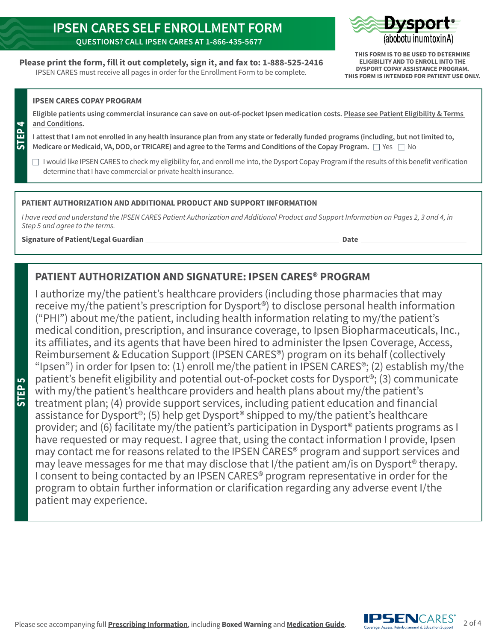### **IPSEN CARES SELF ENROLLMENT FORM QUESTIONS? CALL IPSEN CARES AT 1-866-435-5677**

**Please print the form, fill it out completely, sign it, and fax to: 1-888-525-2416** IPSEN CARES must receive all pages in order for the Enrollment Form to be complete.



**THIS FORM IS TO BE USED TO DETERMINE ELIGIBILITY AND TO ENROLL INTO THE DYSPORT COPAY ASSISTANCE PROGRAM. THIS FORM IS INTENDED FOR PATIENT USE ONLY.**

#### **IPSEN CARES COPAY PROGRAM**

**BT** 

**STEP 5**

**Eligible patients using commercial insurance can save on out-of-pocket Ipsen medication costs. [Please see Patient Eligibility & Terms](https://nam04.safelinks.protection.outlook.com/?url=https%3A%2F%2Fwww.ipsencares.com%2Fdysport-patient-support%2F%23terms-and-conditions&data=04%7C01%7Ckhyland%40us.imshealth.com%7C2a43dd61490d4756b7f408d9835e8ba5%7C5989ece0f90e40bf9c791a7beccdb861%7C0%7C0%7C637685264365036165%7CUnknown%7CTWFpbGZsb3d8eyJWIjoiMC4wLjAwMDAiLCJQIjoiV2luMzIiLCJBTiI6Ik1haWwiLCJXVCI6Mn0%3D%7C1000&sdata=g%2FI8D2mAd3NJYVjXikNL5XX7TRJX%2BFWeu9vQj3gzrgY%3D&reserved=0)  [and Conditions.](https://nam04.safelinks.protection.outlook.com/?url=https%3A%2F%2Fwww.ipsencares.com%2Fdysport-patient-support%2F%23terms-and-conditions&data=04%7C01%7Ckhyland%40us.imshealth.com%7C2a43dd61490d4756b7f408d9835e8ba5%7C5989ece0f90e40bf9c791a7beccdb861%7C0%7C0%7C637685264365036165%7CUnknown%7CTWFpbGZsb3d8eyJWIjoiMC4wLjAwMDAiLCJQIjoiV2luMzIiLCJBTiI6Ik1haWwiLCJXVCI6Mn0%3D%7C1000&sdata=g%2FI8D2mAd3NJYVjXikNL5XX7TRJX%2BFWeu9vQj3gzrgY%3D&reserved=0)** 

**I attest that I am not enrolled in any health insurance plan from any state or federally funded programs (including, but not limited to, Medicare or Medicaid, VA, DOD, or TRICARE) and agree to the Terms and Conditions of the Copay Program.**  $\Box$  Yes  $\Box$  No

 $\Box$  I would like IPSEN CARES to check my eligibility for, and enroll me into, the Dysport Copay Program if the results of this benefit verification determine that I have commercial or private health insurance.

#### **PATIENT AUTHORIZATION AND ADDITIONAL PRODUCT AND SUPPORT INFORMATION**

*I have read and understand the IPSEN CARES Patient Authorization and Additional Product and Support Information on Pages 2, 3 and 4, in Step 5 and agree to the terms.*

#### **Signature of Patient/Legal Guardian Date**

#### **PATIENT AUTHORIZATION AND SIGNATURE: IPSEN CARES® PROGRAM**

I authorize my/the patient's healthcare providers (including those pharmacies that may receive my/the patient's prescription for Dysport®) to disclose personal health information ("PHI") about me/the patient, including health information relating to my/the patient's medical condition, prescription, and insurance coverage, to Ipsen Biopharmaceuticals, Inc., its affiliates, and its agents that have been hired to administer the Ipsen Coverage, Access, Reimbursement & Education Support (IPSEN CARES®) program on its behalf (collectively "Ipsen") in order for Ipsen to: (1) enroll me/the patient in IPSEN CARES<sup>®</sup>; (2) establish my/the patient's benefit eligibility and potential out-of-pocket costs for Dysport®; (3) communicate with my/the patient's healthcare providers and health plans about my/the patient's treatment plan; (4) provide support services, including patient education and financial assistance for Dysport®; (5) help get Dysport® shipped to my/the patient's healthcare provider; and (6) facilitate my/the patient's participation in Dysport® patients programs as I have requested or may request. I agree that, using the contact information I provide, Ipsen may contact me for reasons related to the IPSEN CARES® program and support services and may leave messages for me that may disclose that I/the patient am/is on Dysport® therapy. I consent to being contacted by an IPSEN CARES® program representative in order for the program to obtain further information or clarification regarding any adverse event I/the patient may experience.

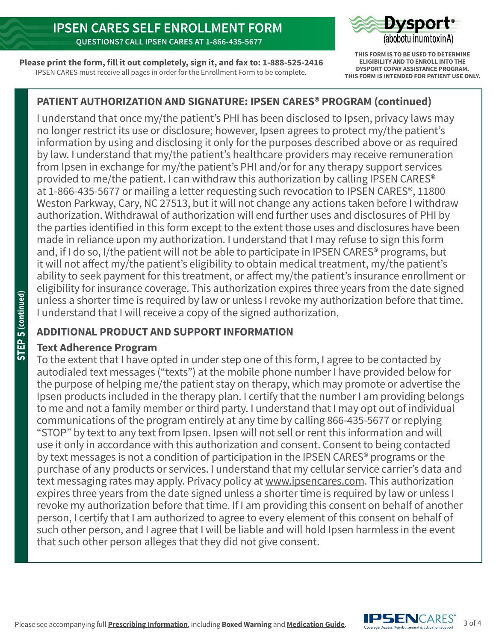

**Please print the form, fill it out completely, sign it, and fax to: 1-888-525-2416** IPSEN CARES must receive all pages in order for the Enrollment Form to be complete.

**THIS FORM IS TO BE USED TO DETERMINE ELIGIBILITY AND TO ENROLL INTO THE DYSPORT COPAY ASSISTANCE PROGRAM. THIS FORM IS INTENDED FOR PATIENT USE ONLY.**

# **PATIENT AUTHORIZATION AND SIGNATURE: IPSEN CARES® PROGRAM (continued)**

I understand that once my/the patient's PHI has been disclosed to Ipsen, privacy laws may no longer restrict its use or disclosure; however, Ipsen agrees to protect my/the patient's information by using and disclosing it only for the purposes described above or as required by law. I understand that my/the patient's healthcare providers may receive remuneration from Ipsen in exchange for my/the patient's PHI and/or for any therapy support services provided to me/the patient. I can withdraw this authorization by calling IPSEN CARES® at 1-866-435-5677 or mailing a letter requesting such revocation to IPSEN CARES®, 11800 Weston Parkway, Cary, NC 27513, but it will not change any actions taken before I withdraw authorization. Withdrawal of authorization will end further uses and disclosures of PHI by the parties identified in this form except to the extent those uses and disclosures have been made in reliance upon my authorization. I understand that I may refuse to sign this form and, if I do so, I/the patient will not be able to participate in IPSEN CARES<sup>®</sup> programs, but it will not affect my/the patient's eligibility to obtain medical treatment, my/the patient's ability to seek payment for this treatment, or affect my/the patient's insurance enrollment or eligibility for insurance coverage. This authorization expires three years from the date signed unless a shorter time is required by law or unless I revoke my authorization before that time. I understand that I will receive a copy of the signed authorization.

## **ADDITIONAL PRODUCT AND SUPPORT INFORMATION**

## **Text Adherence Program**

To the extent that I have opted in under step one of this form, I agree to be contacted by autodialed text messages ("texts") at the mobile phone number I have provided below for the purpose of helping me/the patient stay on therapy, which may promote or advertise the Ipsen products included in the therapy plan. I certify that the number I am providing belongs to me and not a family member or third party. I understand that I may opt out of individual communications of the program entirely at any time by calling 866-435-5677 or replying "STOP" by text to any text from Ipsen. Ipsen will not sell or rent this information and will use it only in accordance with this authorization and consent. Consent to being contacted by text messages is not a condition of participation in the IPSEN CARES® programs or the purchase of any products or services. I understand that my cellular service carrier's data and text messaging rates may apply. Privacy policy at [www.ipsencares.com](http://www.ipsencares.com). This authorization expires three years from the date signed unless a shorter time is required by law or unless I revoke my authorization before that time. If I am providing this consent on behalf of another person, I certify that I am authorized to agree to every element of this consent on behalf of such other person, and I agree that I will be liable and will hold Ipsen harmless in the event that such other person alleges that they did not give consent.